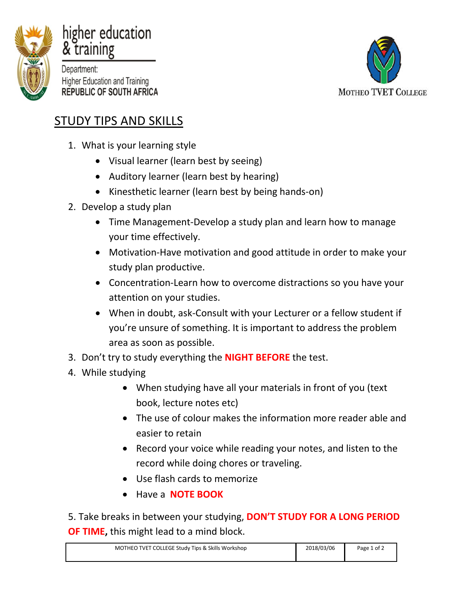

## higher education & training

Department: **Higher Education and Training REPUBLIC OF SOUTH AFRICA** 



## STUDY TIPS AND SKILLS

- 1. What is your learning style
	- Visual learner (learn best by seeing)
	- Auditory learner (learn best by hearing)
	- Kinesthetic learner (learn best by being hands-on)
- 2. Develop a study plan
	- Time Management-Develop a study plan and learn how to manage your time effectively.
	- Motivation-Have motivation and good attitude in order to make your study plan productive.
	- Concentration-Learn how to overcome distractions so you have your attention on your studies.
	- When in doubt, ask-Consult with your Lecturer or a fellow student if you're unsure of something. It is important to address the problem area as soon as possible.
- 3. Don't try to study everything the **NIGHT BEFORE** the test.
- 4. While studying
	- When studying have all your materials in front of you (text book, lecture notes etc)
	- The use of colour makes the information more reader able and easier to retain
	- Record your voice while reading your notes, and listen to the record while doing chores or traveling.
	- Use flash cards to memorize
	- Have a **NOTE BOOK**

5. Take breaks in between your studying, **DON'T STUDY FOR A LONG PERIOD OF TIME,** this might lead to a mind block.

| MOTHEO TVET COLLEGE Study Tips & Skills Workshop | 2018/03/06 | Page 1 of $\lambda$ |
|--------------------------------------------------|------------|---------------------|
|                                                  |            |                     |